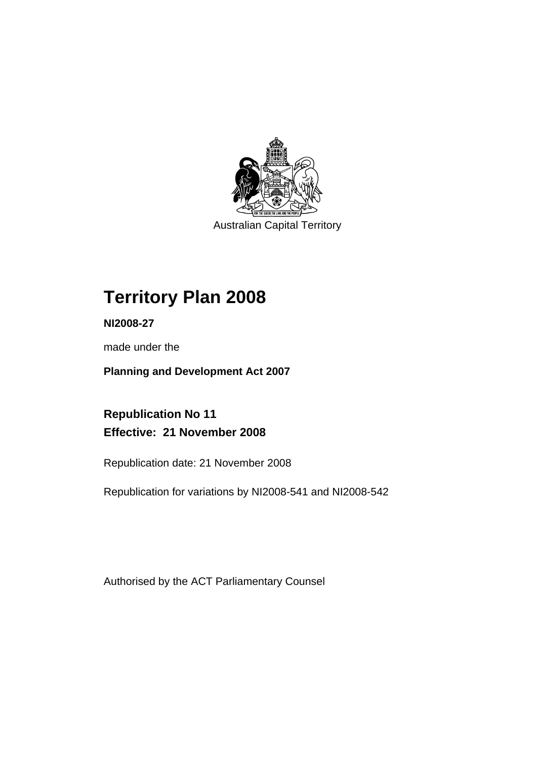

Australian Capital Territory

# **Territory Plan 2008**

**NI2008-27** 

made under the

**Planning and Development Act 2007** 

**Republication No 11 Effective: 21 November 2008** 

Republication date: 21 November 2008

Republication for variations by NI2008-541 and NI2008-542

Authorised by the ACT Parliamentary Counsel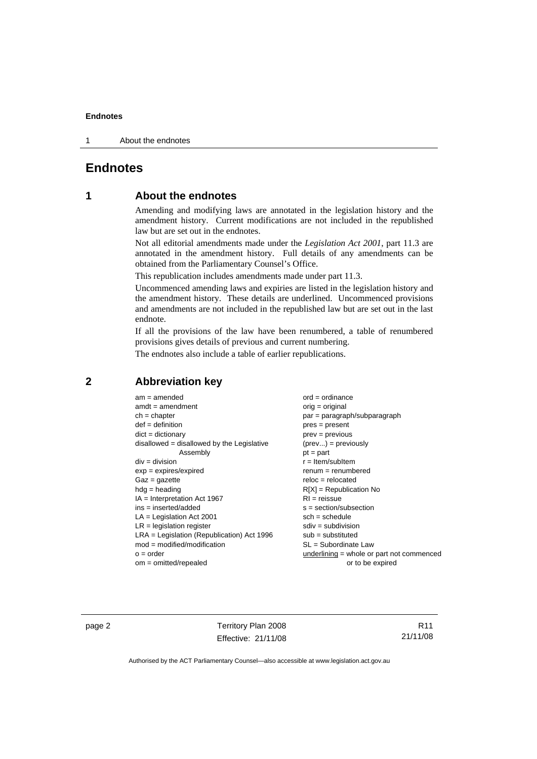1 About the endnotes

# **Endnotes**

# **1 About the endnotes**

Amending and modifying laws are annotated in the legislation history and the amendment history. Current modifications are not included in the republished law but are set out in the endnotes.

Not all editorial amendments made under the *Legislation Act 2001*, part 11.3 are annotated in the amendment history. Full details of any amendments can be obtained from the Parliamentary Counsel's Office.

This republication includes amendments made under part 11.3.

Uncommenced amending laws and expiries are listed in the legislation history and the amendment history. These details are underlined. Uncommenced provisions and amendments are not included in the republished law but are set out in the last endnote.

If all the provisions of the law have been renumbered, a table of renumbered provisions gives details of previous and current numbering.

The endnotes also include a table of earlier republications.

# **2 Abbreviation key**

| $am = amended$                               | $ord = ordinance$                         |
|----------------------------------------------|-------------------------------------------|
| $amdt = amendment$                           | $orig = original$                         |
| $ch = chapter$                               | par = paragraph/subparagraph              |
| $def = definition$                           | $pres = present$                          |
| $dict = dictionary$                          | $prev = previous$                         |
| disallowed = disallowed by the Legislative   | $(\text{prev}) = \text{previously}$       |
| Assembly                                     | $pt = part$                               |
| $div = division$                             | $r =$ Item/subItem                        |
| $exp = expires/expired$                      | $renum = renumbered$                      |
| $Gaz = gazette$                              | $reloc = relocated$                       |
| $hdg =$ heading                              | $R[X]$ = Republication No                 |
| $IA = Interpretation Act 1967$               | $RI = reissue$                            |
| $ins = inserted/added$                       | $s = section/subsection$                  |
| $LA =$ Legislation Act 2001                  | $sch = schedule$                          |
| $LR =$ legislation register                  | $sdiv = subdivision$                      |
| $LRA =$ Legislation (Republication) Act 1996 | $sub =$ substituted                       |
| $mod = modified/modification$                | $SL = Subordinate$ Law                    |
| $o = order$                                  | underlining = whole or part not commenced |
| $om = omitted/repealed$                      | or to be expired                          |

page 2 Territory Plan 2008 Effective: 21/11/08

R11 21/11/08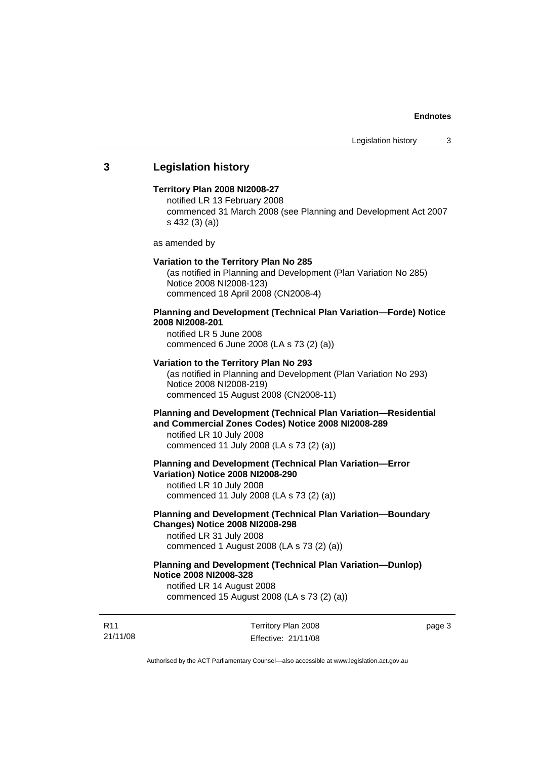# **3 Legislation history**

#### **Territory Plan 2008 NI2008-27**

notified LR 13 February 2008 commenced 31 March 2008 (see Planning and Development Act 2007 s 432 (3) (a))

as amended by

#### **Variation to the Territory Plan No 285**

(as notified in Planning and Development (Plan Variation No 285) Notice 2008 NI2008-123) commenced 18 April 2008 (CN2008-4)

# **Planning and Development (Technical Plan Variation—Forde) Notice 2008 NI2008-201**

notified LR 5 June 2008 commenced 6 June 2008 (LA s 73 (2) (a))

#### **Variation to the Territory Plan No 293**

(as notified in Planning and Development (Plan Variation No 293) Notice 2008 NI2008-219) commenced 15 August 2008 (CN2008-11)

# **Planning and Development (Technical Plan Variation—Residential and Commercial Zones Codes) Notice 2008 NI2008-289**

notified LR 10 July 2008 commenced 11 July 2008 (LA s 73 (2) (a))

#### **Planning and Development (Technical Plan Variation—Error Variation) Notice 2008 NI2008-290**

notified LR 10 July 2008 commenced 11 July 2008 (LA s 73 (2) (a))

# **Planning and Development (Technical Plan Variation—Boundary Changes) Notice 2008 NI2008-298**

notified LR 31 July 2008 commenced 1 August 2008 (LA s 73 (2) (a))

# **Planning and Development (Technical Plan Variation—Dunlop) Notice 2008 NI2008-328**

notified LR 14 August 2008 commenced 15 August 2008 (LA s 73 (2) (a))

R11 21/11/08 Territory Plan 2008 Effective: 21/11/08 page 3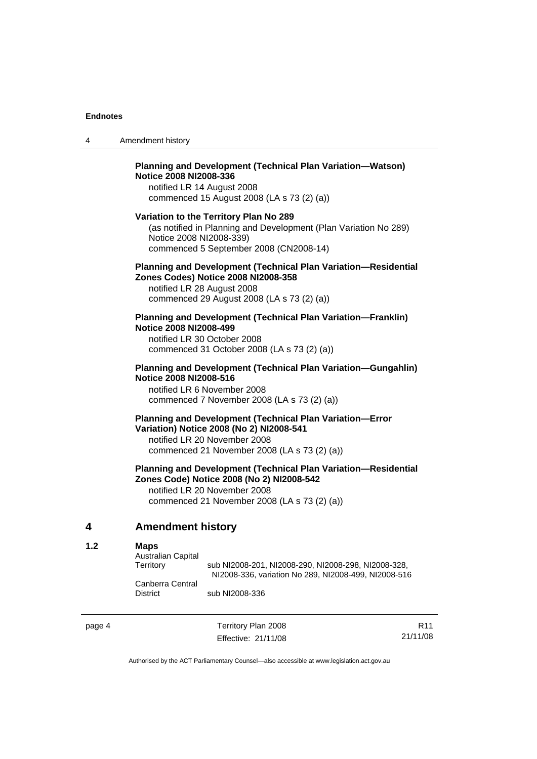| 4 | Amendment history |
|---|-------------------|
|---|-------------------|

## **Planning and Development (Technical Plan Variation—Watson) Notice 2008 NI2008-336**  notified LR 14 August 2008

commenced 15 August 2008 (LA s 73 (2) (a))

#### **Variation to the Territory Plan No 289**

(as notified in Planning and Development (Plan Variation No 289) Notice 2008 NI2008-339) commenced 5 September 2008 (CN2008-14)

#### **Planning and Development (Technical Plan Variation—Residential Zones Codes) Notice 2008 NI2008-358**

notified LR 28 August 2008 commenced 29 August 2008 (LA s 73 (2) (a))

#### **Planning and Development (Technical Plan Variation—Franklin) Notice 2008 NI2008-499**

notified LR 30 October 2008 commenced 31 October 2008 (LA s 73 (2) (a))

#### **Planning and Development (Technical Plan Variation—Gungahlin) Notice 2008 NI2008-516**

notified LR 6 November 2008 commenced 7 November 2008 (LA s 73 (2) (a))

#### **Planning and Development (Technical Plan Variation—Error Variation) Notice 2008 (No 2) NI2008-541**

notified LR 20 November 2008 commenced 21 November 2008 (LA s 73 (2) (a))

# **Planning and Development (Technical Plan Variation—Residential Zones Code) Notice 2008 (No 2) NI2008-542**

notified LR 20 November 2008 commenced 21 November 2008 (LA s 73 (2) (a))

# **4 Amendment history**

#### **1.2 Maps**

| <b>Australian Capital</b> |                                                      |
|---------------------------|------------------------------------------------------|
| Territory                 | sub NI2008-201, NI2008-290, NI2008-298, NI2008-328,  |
|                           | NI2008-336, variation No 289, NI2008-499, NI2008-516 |
| Canberra Central          |                                                      |
| <b>District</b>           | sub NI2008-336                                       |

page 4 Territory Plan 2008 Effective: 21/11/08

R11 21/11/08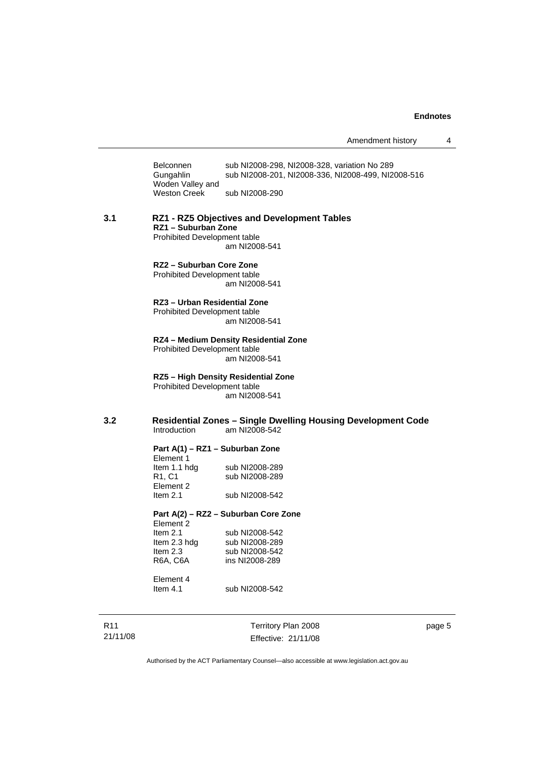Amendment history 4

Belconnen sub NI2008-298, NI2008-328, variation No 289<br>Gungahlin sub NI2008-201, NI2008-336, NI2008-499, NI2 sub NI2008-201, NI2008-336, NI2008-499, NI2008-516 Woden Valley and<br>Weston Creek sub NI2008-290

**3.1 RZ1 - RZ5 Objectives and Development Tables RZ1 – Suburban Zone**  Prohibited Development table am NI2008-541

#### **RZ2 – Suburban Core Zone**  Prohibited Development table

am NI2008-541

#### **RZ3 – Urban Residential Zone**

Prohibited Development table am NI2008-541

# **RZ4 – Medium Density Residential Zone**

Prohibited Development table am NI2008-541

**RZ5 – High Density Residential Zone**  Prohibited Development table am NI2008-541

**3.2 Residential Zones – Single Dwelling Housing Development Code**  am NI2008-542

#### **Part A(1) – RZ1 – Suburban Zone**

| sub NI2008-289 |
|----------------|
| sub NI2008-289 |
|                |
| sub NI2008-542 |
|                |

#### **Part A(2) – RZ2 – Suburban Core Zone**

| Element 2    |                |
|--------------|----------------|
| Item $2.1$   | sub NI2008-542 |
| ltem 2.3 hda | sub NI2008-289 |
| Item $2.3$   | sub NI2008-542 |
| R6A. C6A     | ins NI2008-289 |
|              |                |

Element 4<br>Item 4.1

R11 21/11/08 Territory Plan 2008 Effective: 21/11/08

page 5

Authorised by the ACT Parliamentary Counsel—also accessible at www.legislation.act.gov.au

sub NI2008-542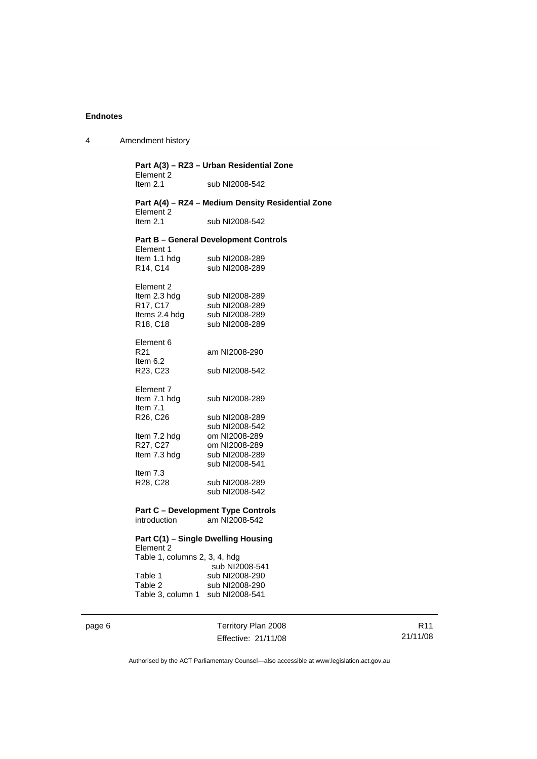| 4 | Amendment history |
|---|-------------------|
|---|-------------------|

**Part A(3) – RZ3 – Urban Residential Zone**  Element 2<br>Item 2.1 sub NI2008-542 **Part A(4) – RZ4 – Medium Density Residential Zone**  Element 2<br>Item 2.1 sub NI2008-542 **Part B – General Development Controls**  Element 1 Item 1.1 hdg sub NI2008-289 R14, C14 sub NI2008-289 Element 2 Item 2.3 hdg sub NI2008-289 R17, C17 sub NI2008-289<br>Items 2.4 hdg sub NI2008-289 Items 2.4 hdg sub NI2008-289<br>R18, C18 sub NI2008-289 sub NI2008-289 Element 6<br>R21 am NI2008-290 Item 6.2<br>R23, C23 sub NI2008-542 Element 7<br>Item 7.1 hdg sub NI2008-289 Item 7.1 R26, C26 sub NI2008-289 sub NI2008-542 Item 7.2 hdg om NI2008-289 R27, C27 om NI2008-289 Item 7.3 hdg sub NI2008-289 sub NI2008-541 Item 7.3 R28, C28 sub NI2008-289 sub NI2008-542 **Part C – Development Type Controls**  introduction am NI2008-542 **Part C(1) – Single Dwelling Housing**  Element 2

| Table 1, columns 2, 3, 4, hdg |                |
|-------------------------------|----------------|
|                               | sub NI2008-541 |
| Table 1                       | sub NI2008-290 |
| Table 2                       | sub NI2008-290 |
| Table 3. column 1             | sub NI2008-541 |

page 6 Territory Plan 2008 Effective: 21/11/08

R11 21/11/08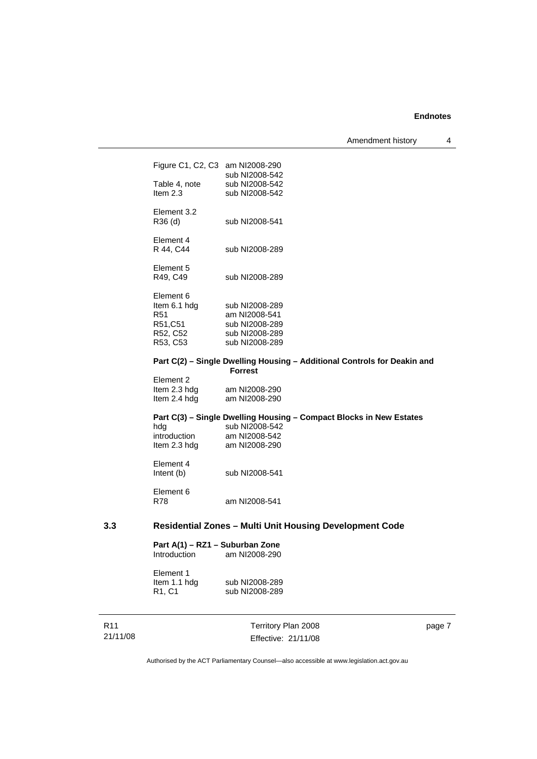Amendment history 4

|     | Figure C1, C2, C3 am NI2008-290 | sub NI2008-542                                                           |
|-----|---------------------------------|--------------------------------------------------------------------------|
|     | Table 4, note                   | sub NI2008-542                                                           |
|     | Item $2.3$                      | sub NI2008-542                                                           |
|     |                                 |                                                                          |
|     | Element 3.2                     |                                                                          |
|     | R36 (d)                         | sub NI2008-541                                                           |
|     |                                 |                                                                          |
|     | Element 4                       |                                                                          |
|     | R 44, C44                       | sub NI2008-289                                                           |
|     |                                 |                                                                          |
|     | Element 5                       |                                                                          |
|     | R49, C49                        | sub NI2008-289                                                           |
|     |                                 |                                                                          |
|     | Element 6                       |                                                                          |
|     | Item 6.1 hdg<br>R <sub>51</sub> | sub NI2008-289                                                           |
|     | R51,C51                         | am NI2008-541                                                            |
|     |                                 | sub NI2008-289                                                           |
|     | R52, C52                        | sub NI2008-289                                                           |
|     | R53, C53                        | sub NI2008-289                                                           |
|     |                                 | Part C(2) - Single Dwelling Housing - Additional Controls for Deakin and |
|     |                                 | <b>Forrest</b>                                                           |
|     | Element 2                       |                                                                          |
|     | Item 2.3 hdg                    | am NI2008-290                                                            |
|     | Item 2.4 hdg                    | am NI2008-290                                                            |
|     |                                 | Part C(3) - Single Dwelling Housing - Compact Blocks in New Estates      |
|     | hdg                             | sub NI2008-542                                                           |
|     | introduction                    | am NI2008-542                                                            |
|     | Item 2.3 hdg                    | am NI2008-290                                                            |
|     |                                 |                                                                          |
|     | Element 4                       |                                                                          |
|     | Intent (b)                      | sub NI2008-541                                                           |
|     |                                 |                                                                          |
|     | Element 6                       |                                                                          |
|     | <b>R78</b>                      | am NI2008-541                                                            |
|     |                                 |                                                                          |
| 3.3 |                                 | <b>Residential Zones - Multi Unit Housing Development Code</b>           |
|     | Part A(1) – RZ1 – Suburban Zone |                                                                          |
|     | Introduction                    | am NI2008-290                                                            |
|     |                                 |                                                                          |
|     | Element 1                       |                                                                          |
|     | Item 1.1 hdg                    | sub NI2008-289                                                           |
|     | R1, C1                          | sub NI2008-289                                                           |

R11 21/11/08

Territory Plan 2008 Effective: 21/11/08 page 7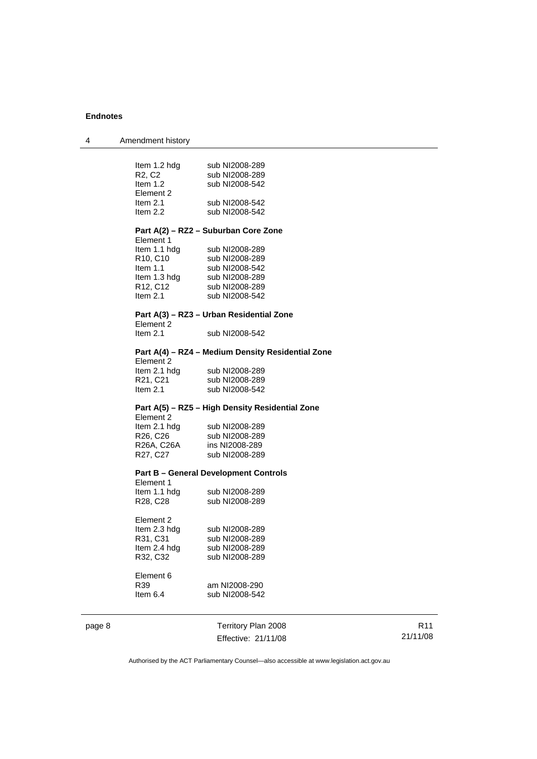| Amendment history<br>-4 |  |  |
|-------------------------|--|--|
|-------------------------|--|--|

#### **Part A(2) – RZ2 – Suburban Core Zone**

| Element 1    |                |
|--------------|----------------|
| ltem 1.1 hdg | sub NI2008-289 |
| R10, C10     | sub NI2008-289 |
| ltem 1.1     | sub NI2008-542 |
| ltem 1.3 hdg | sub NI2008-289 |
| R12, C12     | sub NI2008-289 |
| ltem 2.1     | sub NI2008-542 |
|              |                |

# **Part A(3) – RZ3 – Urban Residential Zone**  Element 2<br>Item 2.1

sub NI2008-542

# **Part A(4) – RZ4 – Medium Density Residential Zone**

| Element 2                         |                |
|-----------------------------------|----------------|
| Item 2.1 hdg                      | sub NI2008-289 |
| R <sub>21</sub> , C <sub>21</sub> | sub NI2008-289 |
| Item $2.1$                        | sub NI2008-542 |

#### **Part A(5) – RZ5 – High Density Residential Zone**

Element 2 Item 2.1 hdg sub NI2008-289<br>R26, C26 sub NI2008-289 R26, C26 sub NI2008-289<br>R26A, C26A ins NI2008-289 ins NI2008-289 R27, C27 sub NI2008-289

#### **Part B – General Development Controls**

| Element 1                         |                |
|-----------------------------------|----------------|
| Item 1.1 hdg                      | sub NI2008-289 |
| R <sub>28</sub> , C <sub>28</sub> | sub NI2008-289 |

| Element 2    |                |
|--------------|----------------|
| Item 2.3 hdg | sub NI2008-289 |
| R31, C31     | sub NI2008-289 |
| Item 2.4 hdg | sub NI2008-289 |
| R32, C32     | sub NI2008-289 |
|              |                |

Element 6<br>R39

# am NI2008-290 Item 6.4 sub NI2008-542

page 8 Territory Plan 2008 Effective: 21/11/08

R11 21/11/08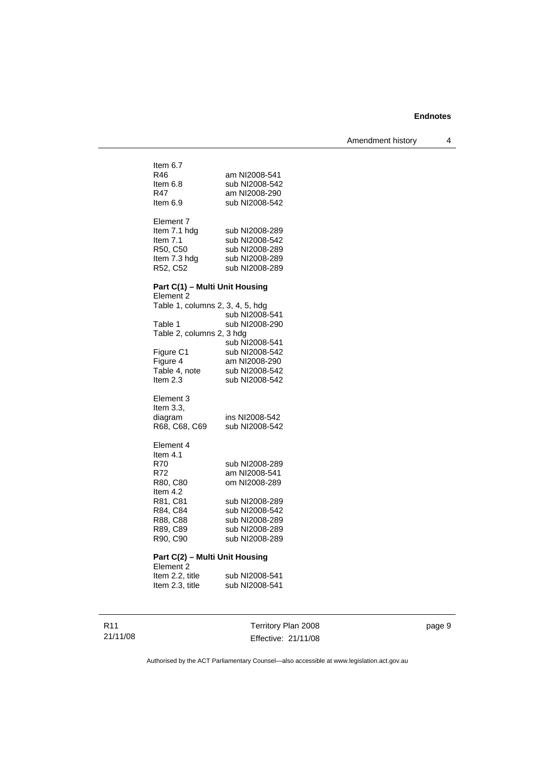Amendment history 4

| Item 6.7                         |                                  |
|----------------------------------|----------------------------------|
| R46                              | am NI2008-541                    |
| ltem 6.8                         | sub NI2008-542                   |
| R47.                             | am NI2008-290                    |
| Item 6.9                         | sub NI2008-542                   |
|                                  |                                  |
| Element 7                        |                                  |
| Item 7.1 hdg                     | sub NI2008-289                   |
| Item 7.1                         | sub NI2008-542                   |
| R50, C50                         | sub NI2008-289                   |
| Item 7.3 hdg<br>R52, C52         | sub NI2008-289<br>sub NI2008-289 |
|                                  |                                  |
| Part C(1) - Multi Unit Housing   |                                  |
| Element 2                        |                                  |
| Table 1, columns 2, 3, 4, 5, hdg |                                  |
|                                  | sub NI2008-541                   |
| Table 1                          | sub NI2008-290                   |
| Table 2, columns 2, 3 hdg        |                                  |
|                                  | sub NI2008-541                   |
| Figure C1                        | sub NI2008-542                   |
| Figure 4<br>Table 4, note        | am NI2008-290                    |
| Item $2.3$                       | sub NI2008-542<br>sub NI2008-542 |
|                                  |                                  |
| Element 3                        |                                  |
| Item $3.3$ ,                     |                                  |
| diagram                          | ins NI2008-542                   |
| R68, C68, C69                    | sub NI2008-542                   |
|                                  |                                  |
| Element 4                        |                                  |
| ltem 4.1                         |                                  |
| R70.                             | sub NI2008-289                   |
| R72.<br>R80, C80                 | am NI2008-541<br>om NI2008-289   |
| Item 4.2                         |                                  |
| R81, C81                         | sub NI2008-289                   |
| R84, C84                         | sub NI2008-542                   |
| R88, C88                         | sub NI2008-289                   |
| R89, C89                         | sub NI2008-289                   |
| R90, C90                         | sub NI2008-289                   |
|                                  |                                  |
| Part C(2) - Multi Unit Housing   |                                  |
| Element <sub>2</sub>             |                                  |
| Item 2.2, title                  | sub NI2008-541                   |
| Item 2.3, title                  | sub NI2008-541                   |

R11 21/11/08

Territory Plan 2008 Effective: 21/11/08 page 9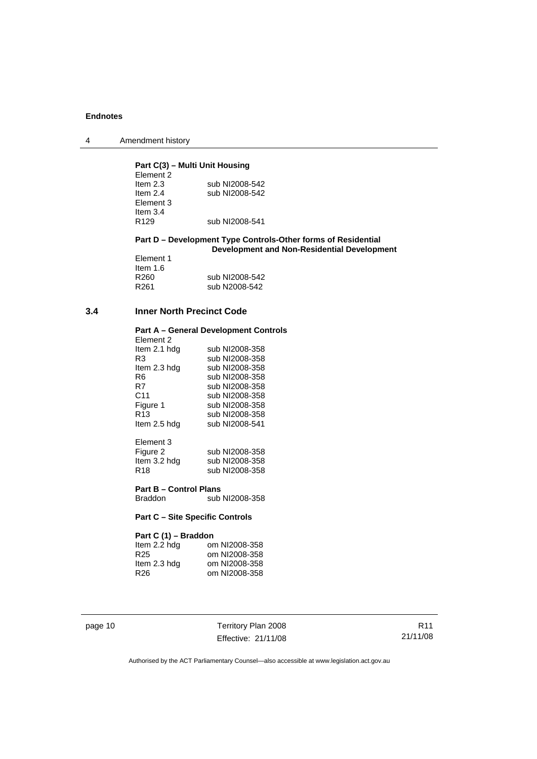| $\overline{4}$ | Amendment history |
|----------------|-------------------|
|----------------|-------------------|

# **Part C(3) – Multi Unit Housing**

| Element 2        |                |
|------------------|----------------|
| Item $2.3$       | sub NI2008-542 |
| Item $2.4$       | sub NI2008-542 |
| Element 3        |                |
| Item $3.4$       |                |
| R <sub>129</sub> | sub NI2008-541 |

#### **Part D – Development Type Controls-Other forms of Residential Development and Non-Residential Development**

|                  | PUTUIUNIIUIII I |
|------------------|-----------------|
| Element 1        |                 |
| ltem 1.6         |                 |
| R260             | sub NI2008-542  |
| R <sub>261</sub> | sub N2008-542   |

### **3.4 Inner North Precinct Code**

# **Part A – General Development Controls**

| Element 2    |                |
|--------------|----------------|
| Item 2.1 hdg | sub NI2008-358 |
| R3           | sub NI2008-358 |
| Item 2.3 hdg | sub NI2008-358 |
| R6           | sub NI2008-358 |
| R7           | sub NI2008-358 |
| C11          | sub NI2008-358 |
| Figure 1     | sub NI2008-358 |
| R13          | sub NI2008-358 |
| Item 2.5 hdg | sub NI2008-541 |
|              |                |

| Element 3       |                |
|-----------------|----------------|
| Figure 2        | sub NI2008-358 |
| Item 3.2 hdg    | sub NI2008-358 |
| R <sub>18</sub> | sub NI2008-358 |

**Part B – Control Plans**  sub NI2008-358

#### **Part C – Site Specific Controls**

# **Part C (1) – Braddon**

| om NI2008-358 |
|---------------|
| om NI2008-358 |
| om NI2008-358 |
| om NI2008-358 |
|               |

page 10 Territory Plan 2008 Effective: 21/11/08

R11 21/11/08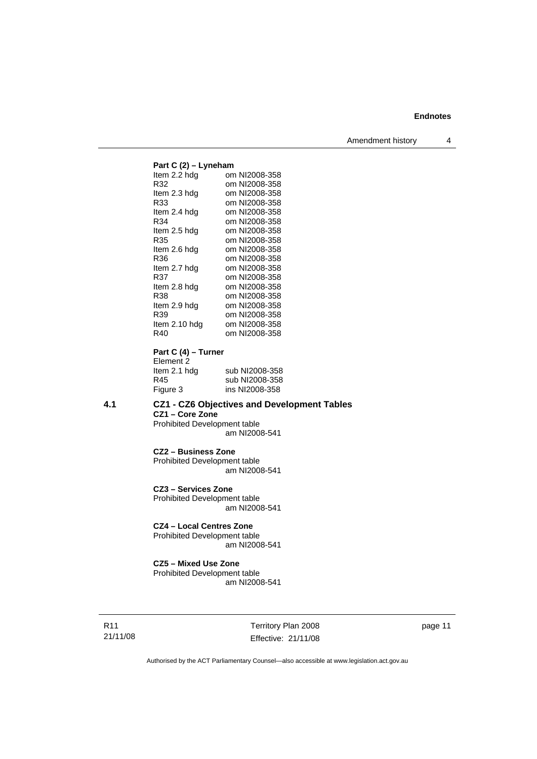#### **Part C (2) – Lyneham**<br>Item 2.2 hdg om om NI2008-358 R32 om NI2008-358<br>Item 2.3 hdg om NI2008-358 Item 2.3 hdg om NI2008-358<br>R33 om NI2008-358 R33 om NI2008-358<br>Item 2.4 hdg om NI2008-358 om NI2008-358 R34 om NI2008-358<br>Item 2.5 hdg om NI2008-358 om NI2008-358 R35 om NI2008-358 Item 2.6 hdg om NI2008-358 R36 om NI2008-358 Item 2.7 hdg om NI2008-358 R37 om NI2008-358<br>Item 2.8 hdg om NI2008-358 om NI2008-358 R38 om NI2008-358 Item 2.9 hdg om NI2008-358<br>R39 om NI2008-358 R39 om NI2008-358<br>Item 2.10 hdg om NI2008-358 om NI2008-358 R40 om NI2008-358

**Part C (4) – Turner**  Element 2

| sub NI2008-358 |
|----------------|
| sub NI2008-358 |
| ins NI2008-358 |
|                |

**4.1 CZ1 - CZ6 Objectives and Development Tables CZ1 – Core Zone**  Prohibited Development table am NI2008-541

> **CZ2 – Business Zone**  Prohibited Development table am NI2008-541

**CZ3 – Services Zone**  Prohibited Development table

am NI2008-541

# **CZ4 – Local Centres Zone**

Prohibited Development table am NI2008-541

#### **CZ5 – Mixed Use Zone**

Prohibited Development table am NI2008-541

R11 21/11/08 Territory Plan 2008 Effective: 21/11/08 page 11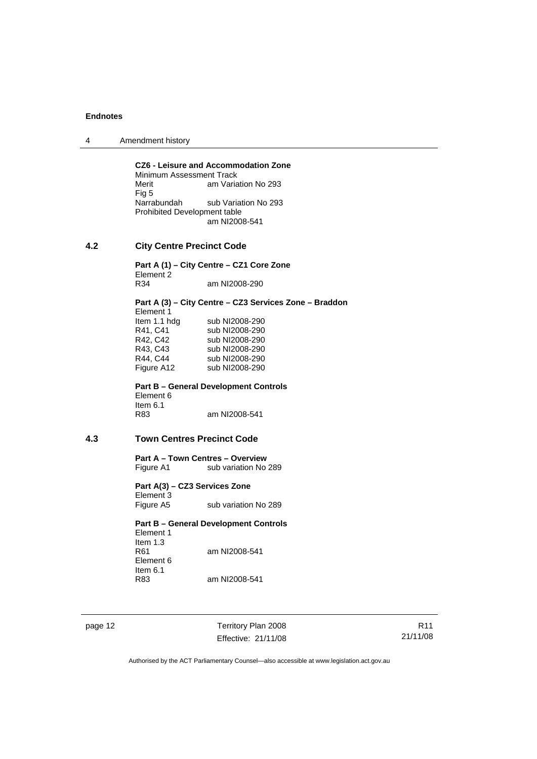4 Amendment history

**CZ6 - Leisure and Accommodation Zone Minimum Assessment Track**<br>Merit am Varia am Variation No 293 Fig 5<br>Narrabundah sub Variation No 293 Prohibited Development table am NI2008-541

### **4.2 City Centre Precinct Code**

**Part A (1) – City Centre – CZ1 Core Zone**  Element 2<br>R<sub>34</sub> am NI2008-290

**Part A (3) – City Centre – CZ3 Services Zone – Braddon**  Element 1 Item 1.1 hdg sub NI2008-290 R41, C41 sub NI2008-290<br>R42, C42 sub NI2008-290 R42, C42 sub NI2008-290<br>R43, C43 sub NI2008-290 sub NI2008-290 R44, C44 sub NI2008-290 Figure A12 sub NI2008-290

**Part B – General Development Controls**  Element 6 Item 6.1 R83 am NI2008-541

# **4.3 Town Centres Precinct Code**

**Part A – Town Centres – Overview**  Figure A1 sub variation No 289

**Part A(3) – CZ3 Services Zone**  Element 3 Figure A5 sub variation No 289

**Part B – General Development Controls**  Element 1 Item 1.3<br>R61 am NI2008-541 Element 6 Item  $6.1$ <br>R83 am NI2008-541

page 12 Territory Plan 2008 Effective: 21/11/08

R11 21/11/08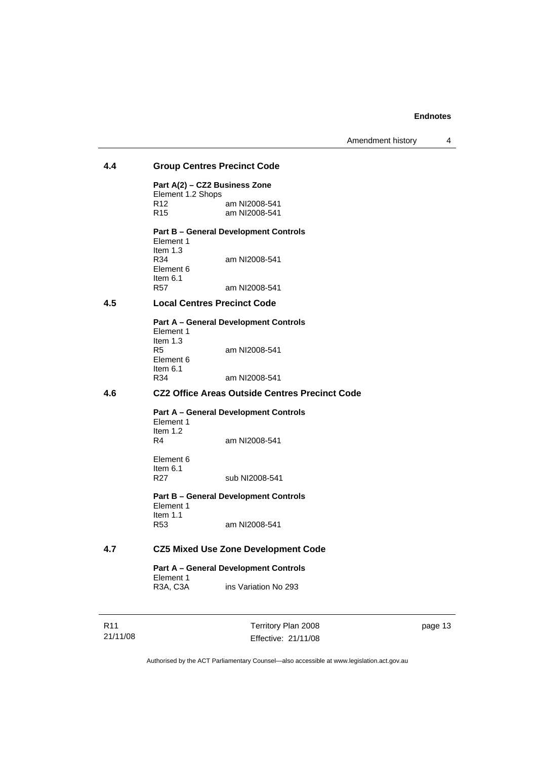Amendment history 4

# **4.4 Group Centres Precinct Code**

**Part A(2) – CZ2 Business Zone**  Element 1.2 Shops<br>R12 R12 am NI2008-541<br>R15 am NI2008-541 am NI2008-541

# **Part B – General Development Controls**

Element 1 Item  $1.3$ <br>R34 am NI2008-541 Element 6 Item 6.1<br>R57 am NI2008-541

# **4.5 Local Centres Precinct Code**

**Part A – General Development Controls**  Element 1 Item 1.3<br>R5 am NI2008-541 Element 6 Item  $6.1$ <br>R34 am NI2008-541

# **4.6 CZ2 Office Areas Outside Centres Precinct Code**

**Part A – General Development Controls**  Element 1 Item  $1.2$ <br>R4 am NI2008-541

Element 6 Item  $6.1$ <br>R27 sub NI2008-541

**Part B – General Development Controls**  Element 1 Item 1.1<br>R53 am NI2008-541

# **4.7 CZ5 Mixed Use Zone Development Code**

**Part A – General Development Controls**  Element 1<br>R3A, C3A ins Variation No 293

R11 21/11/08 Territory Plan 2008 Effective: 21/11/08 page 13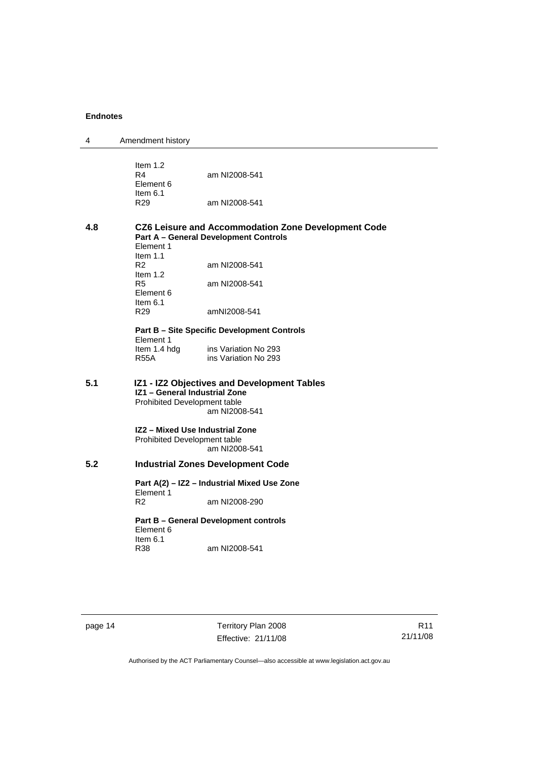| 4   | Amendment history                                                                                                                                                                                |                                              |
|-----|--------------------------------------------------------------------------------------------------------------------------------------------------------------------------------------------------|----------------------------------------------|
|     | Item $1.2$<br>R4<br>Element 6<br>Item $6.1$<br>R <sub>29</sub>                                                                                                                                   | am NI2008-541<br>am NI2008-541               |
|     |                                                                                                                                                                                                  |                                              |
| 4.8 | CZ6 Leisure and Accommodation Zone Development Code<br><b>Part A - General Development Controls</b><br>Element 1<br>Item $1.1$                                                                   |                                              |
|     | R <sub>2</sub>                                                                                                                                                                                   | am NI2008-541                                |
|     | Item $1.2$<br>R5<br>Element 6                                                                                                                                                                    | am NI2008-541                                |
|     | Item $6.1$<br>R <sub>29</sub>                                                                                                                                                                    | amNI2008-541                                 |
|     | <b>Part B - Site Specific Development Controls</b><br>Element 1                                                                                                                                  |                                              |
|     | Item 1.4 hdg<br><b>R55A</b>                                                                                                                                                                      | ins Variation No 293<br>ins Variation No 293 |
| 5.1 | IZ1 - IZ2 Objectives and Development Tables<br>IZ1 - General Industrial Zone<br>Prohibited Development table<br>am NI2008-541<br>IZ2 - Mixed Use Industrial Zone<br>Prohibited Development table |                                              |
|     |                                                                                                                                                                                                  |                                              |
|     |                                                                                                                                                                                                  | am NI2008-541                                |
| 5.2 | <b>Industrial Zones Development Code</b>                                                                                                                                                         |                                              |
|     | Part A(2) - IZ2 - Industrial Mixed Use Zone<br>Element 1                                                                                                                                         |                                              |
|     | R <sub>2</sub>                                                                                                                                                                                   | am NI2008-290                                |
|     | Part B - General Development controls<br>Element 6<br>Item $6.1$                                                                                                                                 |                                              |
|     | R38                                                                                                                                                                                              | am NI2008-541                                |
|     |                                                                                                                                                                                                  |                                              |

page 14 Territory Plan 2008 Effective: 21/11/08

R11 21/11/08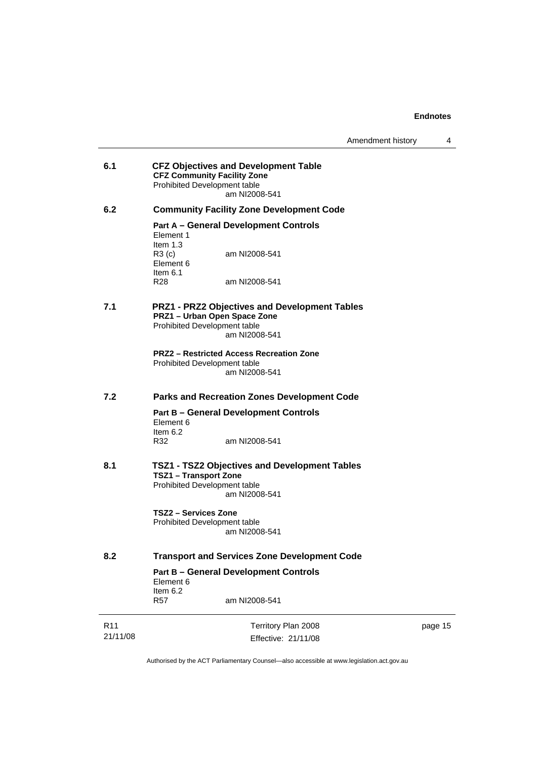| 6.1             | <b>CFZ Objectives and Development Table</b><br><b>CFZ Community Facility Zone</b><br><b>Prohibited Development table</b><br>am NI2008-541 |
|-----------------|-------------------------------------------------------------------------------------------------------------------------------------------|
| 6.2             | <b>Community Facility Zone Development Code</b>                                                                                           |
|                 | <b>Part A - General Development Controls</b><br>Element 1<br>Item $1.3$<br>R3(c)<br>am NI2008-541                                         |
|                 | Element 6<br>Item $6.1$<br>R28<br>am NI2008-541                                                                                           |
| 7.1             | <b>PRZ1 - PRZ2 Objectives and Development Tables</b><br>PRZ1 - Urban Open Space Zone<br>Prohibited Development table<br>am NI2008-541     |
|                 | <b>PRZ2 - Restricted Access Recreation Zone</b><br>Prohibited Development table<br>am NI2008-541                                          |
| 7.2             | <b>Parks and Recreation Zones Development Code</b>                                                                                        |
|                 | <b>Part B - General Development Controls</b><br>Element 6<br>Item $6.2$                                                                   |
|                 | R32<br>am NI2008-541                                                                                                                      |
| 8.1             | TSZ1 - TSZ2 Objectives and Development Tables<br><b>TSZ1 - Transport Zone</b><br>Prohibited Development table<br>am NI2008-541            |
|                 | TSZ2 - Services Zone<br>Prohibited Development table<br>am NI2008-541                                                                     |
| 8.2             | <b>Transport and Services Zone Development Code</b>                                                                                       |
|                 | <b>Part B - General Development Controls</b><br>Element 6<br>Item $6.2$                                                                   |
|                 | R57<br>am NI2008-541                                                                                                                      |
| R <sub>11</sub> | Territory Plan 2008                                                                                                                       |

21/11/08

Effective: 21/11/08

page 15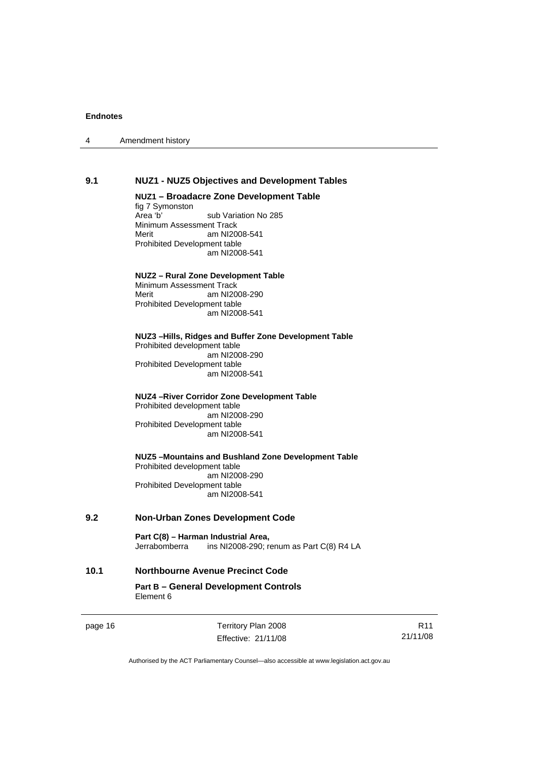| Amendment history<br>$\boldsymbol{\Lambda}$ |  |
|---------------------------------------------|--|
|---------------------------------------------|--|

#### **9.1 NUZ1 - NUZ5 Objectives and Development Tables**

#### **NUZ1 – Broadacre Zone Development Table**

fig 7 Symonston<br>Area 'b' sub Variation No 285 Minimum Assessment Track Merit am NI2008-541 Prohibited Development table am NI2008-541

#### **NUZ2 – Rural Zone Development Table**

Minimum Assessment Track<br>Merit am NI20 am NI2008-290 Prohibited Development table am NI2008-541

#### **NUZ3 –Hills, Ridges and Buffer Zone Development Table**  Prohibited development table am NI2008-290 Prohibited Development table

am NI2008-541

#### **NUZ4 –River Corridor Zone Development Table**

Prohibited development table am NI2008-290 Prohibited Development table am NI2008-541

#### **NUZ5 –Mountains and Bushland Zone Development Table**  Prohibited development table am NI2008-290 Prohibited Development table am NI2008-541

## **9.2 Non-Urban Zones Development Code**

**Part C(8) – Harman Industrial Area,**<br>Jerrabomberra ins NI2008-290; r ins NI2008-290; renum as Part C(8) R4 LA

## **10.1 Northbourne Avenue Precinct Code**

#### **Part B – General Development Controls**  Element 6

page 16 Territory Plan 2008 Effective: 21/11/08

R11 21/11/08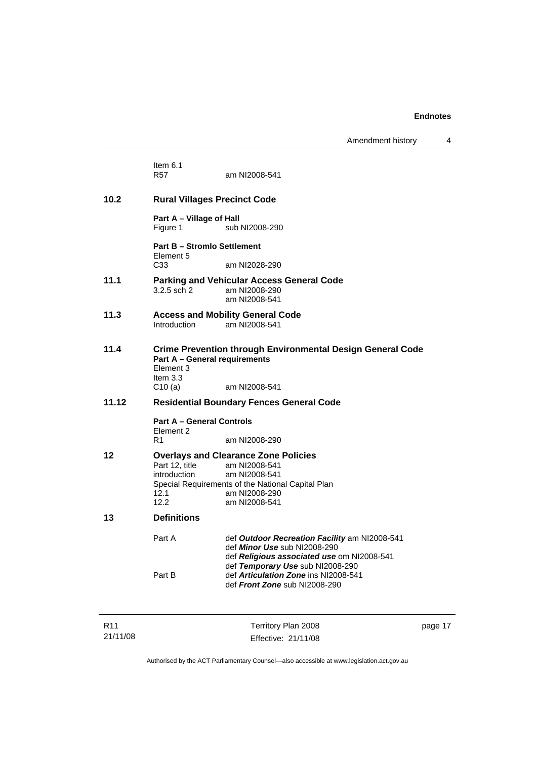Amendment history 4

|       | Item $6.1$<br><b>R57</b>                                           | am NI2008-541                                                                                                                                                          |  |  |
|-------|--------------------------------------------------------------------|------------------------------------------------------------------------------------------------------------------------------------------------------------------------|--|--|
| 10.2  | <b>Rural Villages Precinct Code</b>                                |                                                                                                                                                                        |  |  |
|       | Part A - Village of Hall<br>sub NI2008-290<br>Figure 1             |                                                                                                                                                                        |  |  |
|       | <b>Part B - Stromlo Settlement</b><br>Element 5                    |                                                                                                                                                                        |  |  |
|       | C <sub>33</sub>                                                    | am NI2028-290                                                                                                                                                          |  |  |
| 11.1  | $3.2.5$ sch $2$                                                    | <b>Parking and Vehicular Access General Code</b><br>am NI2008-290<br>am NI2008-541                                                                                     |  |  |
| 11.3  | Introduction                                                       | <b>Access and Mobility General Code</b><br>am NI2008-541                                                                                                               |  |  |
| 11.4  | Part A - General requirements<br>Element 3<br>Item $3.3$<br>C10(a) | <b>Crime Prevention through Environmental Design General Code</b><br>am NI2008-541                                                                                     |  |  |
| 11.12 | <b>Residential Boundary Fences General Code</b>                    |                                                                                                                                                                        |  |  |
|       | <b>Part A - General Controls</b><br>Element 2                      |                                                                                                                                                                        |  |  |
|       | R <sub>1</sub>                                                     | am NI2008-290                                                                                                                                                          |  |  |
| 12    | Part 12. title<br>introduction<br>12.1<br>12.2                     | <b>Overlays and Clearance Zone Policies</b><br>am NI2008-541<br>am NI2008-541<br>Special Requirements of the National Capital Plan<br>am NI2008-290<br>am NI2008-541   |  |  |
| 13    | <b>Definitions</b>                                                 |                                                                                                                                                                        |  |  |
|       | Part A                                                             | def Outdoor Recreation Facility am NI2008-541<br>def <i>Minor Use</i> sub NI2008-290<br>def Religious associated use om NI2008-541<br>def Temporary Use sub NI2008-290 |  |  |
|       | Part B                                                             | def Articulation Zone ins NI2008-541<br>def Front Zone sub NI2008-290                                                                                                  |  |  |

Territory Plan 2008 Effective: 21/11/08 page 17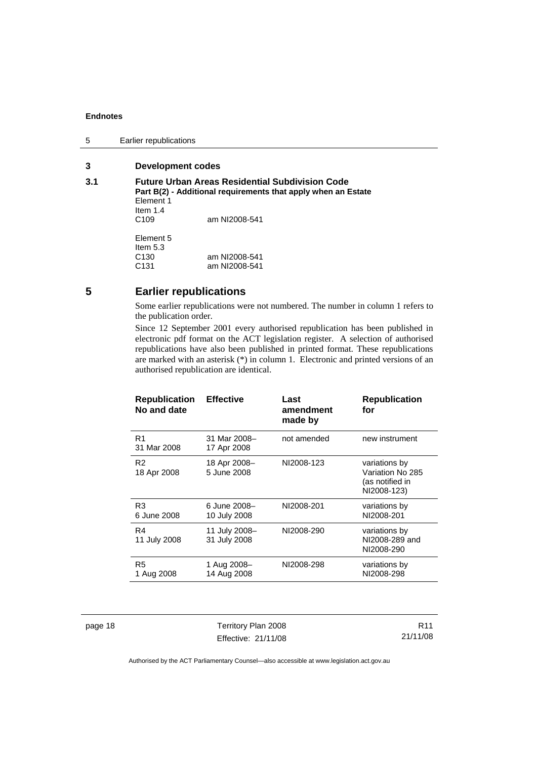5 Earlier republications

# **3 Development codes**

| <b>Future Urban Areas Residential Subdivision Code</b><br>Part B(2) - Additional requirements that apply when an Estate |               |  |  |
|-------------------------------------------------------------------------------------------------------------------------|---------------|--|--|
| Element 1                                                                                                               |               |  |  |
| Item $1.4$                                                                                                              |               |  |  |
| C <sub>109</sub>                                                                                                        | am NI2008-541 |  |  |
| Element 5                                                                                                               |               |  |  |
| Item $5.3$                                                                                                              |               |  |  |
| C <sub>130</sub>                                                                                                        | am NI2008-541 |  |  |
| C <sub>131</sub>                                                                                                        | am NI2008-541 |  |  |
|                                                                                                                         |               |  |  |

# **5 Earlier republications**

Some earlier republications were not numbered. The number in column 1 refers to the publication order.

Since 12 September 2001 every authorised republication has been published in electronic pdf format on the ACT legislation register. A selection of authorised republications have also been published in printed format. These republications are marked with an asterisk (\*) in column 1. Electronic and printed versions of an authorised republication are identical.

| <b>Republication</b><br>No and date | <b>Effective</b>              | Last<br>amendment<br>made by | <b>Republication</b><br>for                                         |
|-------------------------------------|-------------------------------|------------------------------|---------------------------------------------------------------------|
| R <sub>1</sub><br>31 Mar 2008       | 31 Mar 2008-<br>17 Apr 2008   | not amended                  | new instrument                                                      |
| R <sub>2</sub><br>18 Apr 2008       | 18 Apr 2008-<br>5 June 2008   | NI2008-123                   | variations by<br>Variation No 285<br>(as notified in<br>NI2008-123) |
| R <sub>3</sub><br>6 June 2008       | 6 June 2008-<br>10 July 2008  | NI2008-201                   | variations by<br>NI2008-201                                         |
| R4<br>11 July 2008                  | 11 July 2008-<br>31 July 2008 | NI2008-290                   | variations by<br>NI2008-289 and<br>NI2008-290                       |
| R <sub>5</sub><br>1 Aug 2008        | 1 Aug 2008–<br>14 Aug 2008    | NI2008-298                   | variations by<br>NI2008-298                                         |

page 18 Territory Plan 2008 Effective: 21/11/08

R11 21/11/08